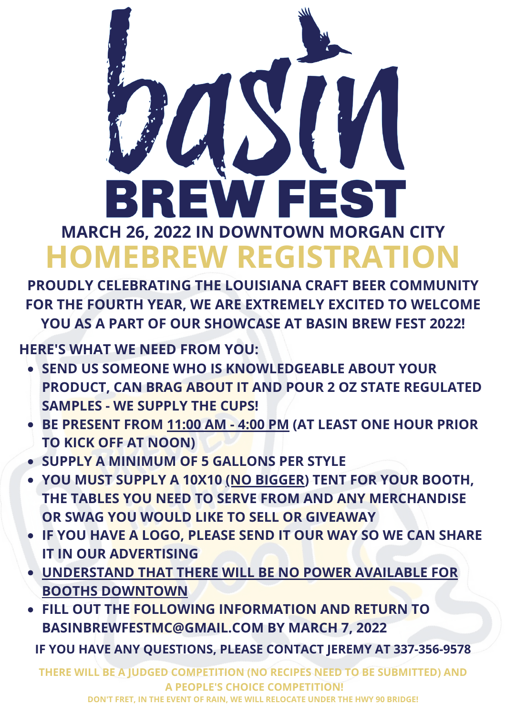

**PROUDLY CELEBRATING THE LOUISIANA CRAFT BEER COMMUNITY FOR THE FOURTH YEAR, WE ARE EXTREMELY EXCITED TO WELCOME YOU AS A PART OF OUR SHOWCASE AT BASIN BREW FEST 2022!**

**HERE'S WHAT WE NEED FROM YOU:**

- **SEND US SOMEONE WHO IS KNOWLEDGEABLE ABOUT YOUR PRODUCT, CAN BRAG ABOUT IT AND POUR 2 OZ STATE REGULATED SAMPLES - WE SUPPLY THE CUPS!**
- **BE PRESENT FROM 11:00 AM - 4:00 PM (AT LEAST ONE HOUR PRIOR TO KICK OFF AT NOON)**
- **SUPPLY A MINIMUM OF 5 GALLONS PER STYLE**
- **YOU MUST SUPPLY A 10X10 (NO BIGGER) TENT FOR YOUR BOOTH, THE TABLES YOU NEED TO SERVE FROM AND ANY MERCHANDISE OR SWAG YOU WOULD LIKE TO SELL OR GIVEAWAY**
- **IF YOU HAVE A LOGO, PLEASE SEND IT OUR WAY SO WE CAN SHARE IT IN OUR ADVERTISING**
- **UNDERSTAND THAT THERE WILL BE NO POWER AVAILABLE FOR BOOTHS DOWNTOWN**
- **FILL OUT THE FOLLOWING INFORMATION AND RETURN TO BASINBREWFESTMC@GMAIL.COM BY MARCH 7, 2022**

**IF YOU HAVE ANY QUESTIONS, PLEASE CONTACT JEREMY AT 337-356-9578**

**THERE WILL BE A JUDGED COMPETITION (NO RECIPES NEED TO BE SUBMITTED) AND A PEOPLE'S CHOICE COMPETITION!**

**DON'T FRET, IN THE EVENT OF RAIN, WE WILL RELOCATE UNDER THE HWY 90 BRIDGE!**